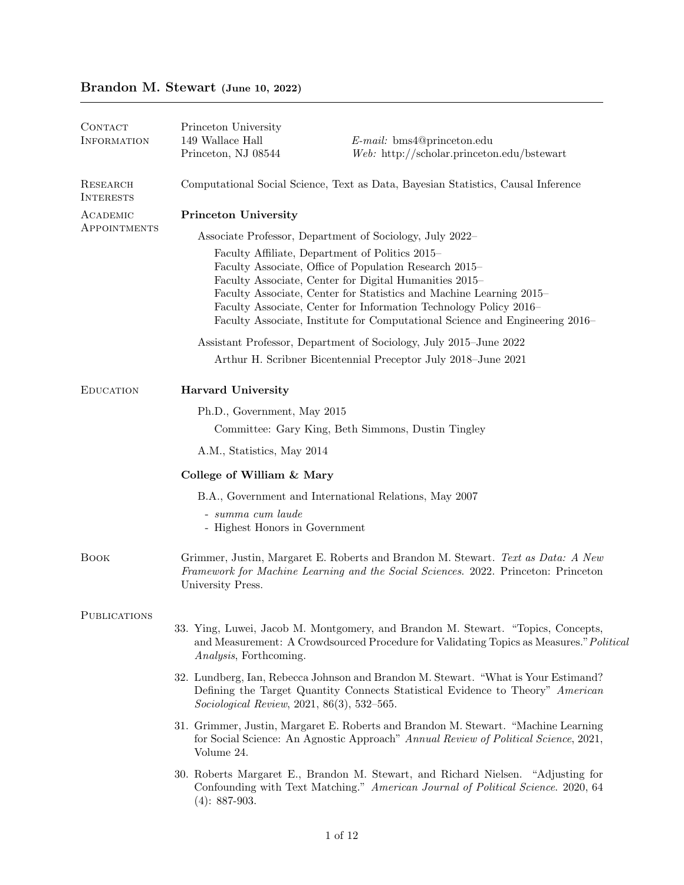## Brandon M. Stewart (June 10, 2022)

| CONTACT<br><b>INFORMATION</b> | Princeton University<br>149 Wallace Hall<br>Princeton, NJ 08544                   | <i>E-mail:</i> bms4@princeton.edu<br>$Web: \ \text{http://scholar.princeton.edu/bstewart}$                                                                                                                                                                                                                                                                                                      |
|-------------------------------|-----------------------------------------------------------------------------------|-------------------------------------------------------------------------------------------------------------------------------------------------------------------------------------------------------------------------------------------------------------------------------------------------------------------------------------------------------------------------------------------------|
| RESEARCH<br><b>INTERESTS</b>  | Computational Social Science, Text as Data, Bayesian Statistics, Causal Inference |                                                                                                                                                                                                                                                                                                                                                                                                 |
| ACADEMIC                      | <b>Princeton University</b>                                                       |                                                                                                                                                                                                                                                                                                                                                                                                 |
| APPOINTMENTS                  | Associate Professor, Department of Sociology, July 2022–                          |                                                                                                                                                                                                                                                                                                                                                                                                 |
|                               |                                                                                   | Faculty Affiliate, Department of Politics 2015–<br>Faculty Associate, Office of Population Research 2015–<br>Faculty Associate, Center for Digital Humanities 2015–<br>Faculty Associate, Center for Statistics and Machine Learning 2015–<br>Faculty Associate, Center for Information Technology Policy 2016–<br>Faculty Associate, Institute for Computational Science and Engineering 2016– |
|                               |                                                                                   | Assistant Professor, Department of Sociology, July 2015-June 2022                                                                                                                                                                                                                                                                                                                               |
|                               |                                                                                   | Arthur H. Scribner Bicentennial Preceptor July 2018–June 2021                                                                                                                                                                                                                                                                                                                                   |
| <b>EDUCATION</b>              | <b>Harvard University</b>                                                         |                                                                                                                                                                                                                                                                                                                                                                                                 |
|                               | Ph.D., Government, May 2015                                                       |                                                                                                                                                                                                                                                                                                                                                                                                 |
|                               | Committee: Gary King, Beth Simmons, Dustin Tingley                                |                                                                                                                                                                                                                                                                                                                                                                                                 |
|                               | A.M., Statistics, May 2014                                                        |                                                                                                                                                                                                                                                                                                                                                                                                 |
|                               | College of William & Mary                                                         |                                                                                                                                                                                                                                                                                                                                                                                                 |
|                               |                                                                                   | B.A., Government and International Relations, May 2007                                                                                                                                                                                                                                                                                                                                          |
|                               | $- summa cum laude$<br>- Highest Honors in Government                             |                                                                                                                                                                                                                                                                                                                                                                                                 |
| <b>BOOK</b>                   | University Press.                                                                 | Grimmer, Justin, Margaret E. Roberts and Brandon M. Stewart. Text as Data: A New<br>Framework for Machine Learning and the Social Sciences. 2022. Princeton: Princeton                                                                                                                                                                                                                          |
| <b>PUBLICATIONS</b>           |                                                                                   |                                                                                                                                                                                                                                                                                                                                                                                                 |
|                               | <i>Analysis</i> , Forthcoming.                                                    | 33. Ying, Luwei, Jacob M. Montgomery, and Brandon M. Stewart. "Topics, Concepts,<br>and Measurement: A Crowdsourced Procedure for Validating Topics as Measures." Political                                                                                                                                                                                                                     |
|                               | Sociological Review, 2021, 86(3), 532-565.                                        | 32. Lundberg, Ian, Rebecca Johnson and Brandon M. Stewart. "What is Your Estimand?<br>Defining the Target Quantity Connects Statistical Evidence to Theory" American                                                                                                                                                                                                                            |
|                               | Volume 24.                                                                        | 31. Grimmer, Justin, Margaret E. Roberts and Brandon M. Stewart. "Machine Learning<br>for Social Science: An Agnostic Approach" Annual Review of Political Science, 2021,                                                                                                                                                                                                                       |
|                               | $(4): 887-903.$                                                                   | 30. Roberts Margaret E., Brandon M. Stewart, and Richard Nielsen. "Adjusting for<br>Confounding with Text Matching." American Journal of Political Science. 2020, 64                                                                                                                                                                                                                            |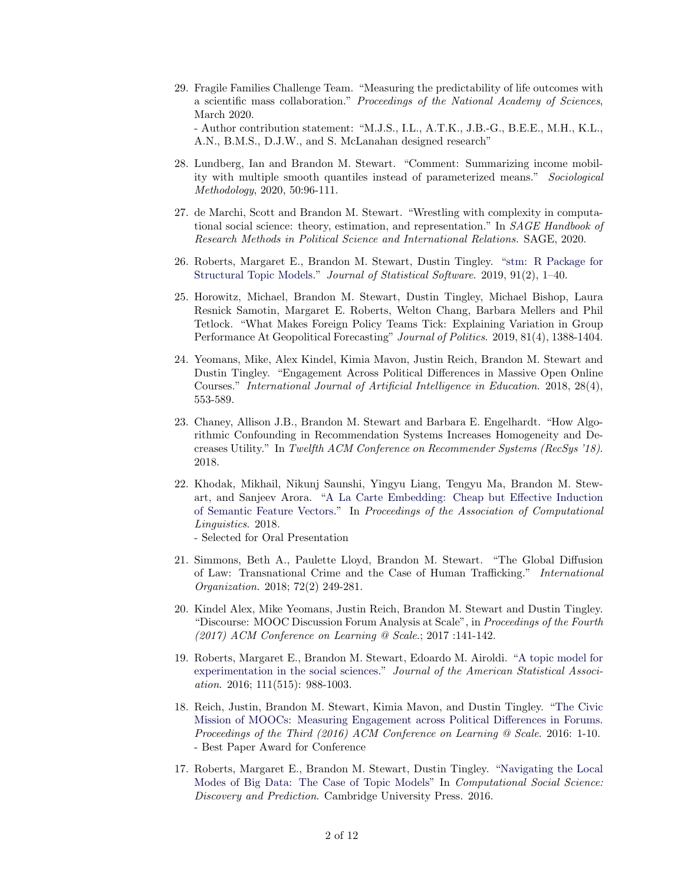- 29. Fragile Families Challenge Team. "Measuring the predictability of life outcomes with a scientific mass collaboration." Proceedings of the National Academy of Sciences, March 2020. - Author contribution statement: "M.J.S., I.L., A.T.K., J.B.-G., B.E.E., M.H., K.L., A.N., B.M.S., D.J.W., and S. McLanahan designed research"
- 28. Lundberg, Ian and Brandon M. Stewart. "Comment: Summarizing income mobility with multiple smooth quantiles instead of parameterized means." Sociological Methodology, 2020, 50:96-111.
- 27. de Marchi, Scott and Brandon M. Stewart. "Wrestling with complexity in computational social science: theory, estimation, and representation." In SAGE Handbook of Research Methods in Political Science and International Relations. SAGE, 2020.
- 26. Roberts, Margaret E., Brandon M. Stewart, Dustin Tingley. ["stm: R Package for](https://github.com/bstewart/stm/blob/master/vignettes/stmVignette.pdf?raw=true) [Structural Topic Models.](https://github.com/bstewart/stm/blob/master/vignettes/stmVignette.pdf?raw=true)" Journal of Statistical Software. 2019, 91(2), 1–40.
- 25. Horowitz, Michael, Brandon M. Stewart, Dustin Tingley, Michael Bishop, Laura Resnick Samotin, Margaret E. Roberts, Welton Chang, Barbara Mellers and Phil Tetlock. "What Makes Foreign Policy Teams Tick: Explaining Variation in Group Performance At Geopolitical Forecasting" Journal of Politics. 2019, 81(4), 1388-1404.
- 24. Yeomans, Mike, Alex Kindel, Kimia Mavon, Justin Reich, Brandon M. Stewart and Dustin Tingley. "Engagement Across Political Differences in Massive Open Online Courses." International Journal of Artificial Intelligence in Education. 2018, 28(4), 553-589.
- 23. Chaney, Allison J.B., Brandon M. Stewart and Barbara E. Engelhardt. "How Algorithmic Confounding in Recommendation Systems Increases Homogeneity and Decreases Utility." In Twelfth ACM Conference on Recommender Systems (RecSys '18). 2018.
- 22. Khodak, Mikhail, Nikunj Saunshi, Yingyu Liang, Tengyu Ma, Brandon M. Stewart, and Sanjeev Arora. ["A La Carte Embedding: Cheap but Effective Induction](https://arxiv.org/abs/1805.05388) [of Semantic Feature Vectors.](https://arxiv.org/abs/1805.05388)" In Proceedings of the Association of Computational Linguistics. 2018.
	- Selected for Oral Presentation
- 21. Simmons, Beth A., Paulette Lloyd, Brandon M. Stewart. "The Global Diffusion of Law: Transnational Crime and the Case of Human Trafficking." International Organization. 2018; 72(2) 249-281.
- 20. Kindel Alex, Mike Yeomans, Justin Reich, Brandon M. Stewart and Dustin Tingley. "Discourse: MOOC Discussion Forum Analysis at Scale", in Proceedings of the Fourth (2017) ACM Conference on Learning @ Scale.; 2017 :141-142.
- 19. Roberts, Margaret E., Brandon M. Stewart, Edoardo M. Airoldi. ["A topic model for](http://scholar.princeton.edu/sites/default/files/bstewart/files/a_model_of_text_for_experimentation_in_the_social_sciences.pdf) [experimentation in the social sciences.](http://scholar.princeton.edu/sites/default/files/bstewart/files/a_model_of_text_for_experimentation_in_the_social_sciences.pdf)" Journal of the American Statistical Association. 2016; 111(515): 988-1003.
- 18. Reich, Justin, Brandon M. Stewart, Kimia Mavon, and Dustin Tingley. ["The Civic](http://scholar.princeton.edu/sites/default/files/bstewart/files/civicmooc.pdf) [Mission of MOOCs: Measuring Engagement across Political Differences in Forums.](http://scholar.princeton.edu/sites/default/files/bstewart/files/civicmooc.pdf) Proceedings of the Third (2016) ACM Conference on Learning @ Scale. 2016: 1-10. - Best Paper Award for Conference
- 17. Roberts, Margaret E., Brandon M. Stewart, Dustin Tingley. ["Navigating the Local](http://scholar.princeton.edu/files/dtingley/files/multimod.pdf) [Modes of Big Data: The Case of Topic Models"](http://scholar.princeton.edu/files/dtingley/files/multimod.pdf) In Computational Social Science: Discovery and Prediction. Cambridge University Press. 2016.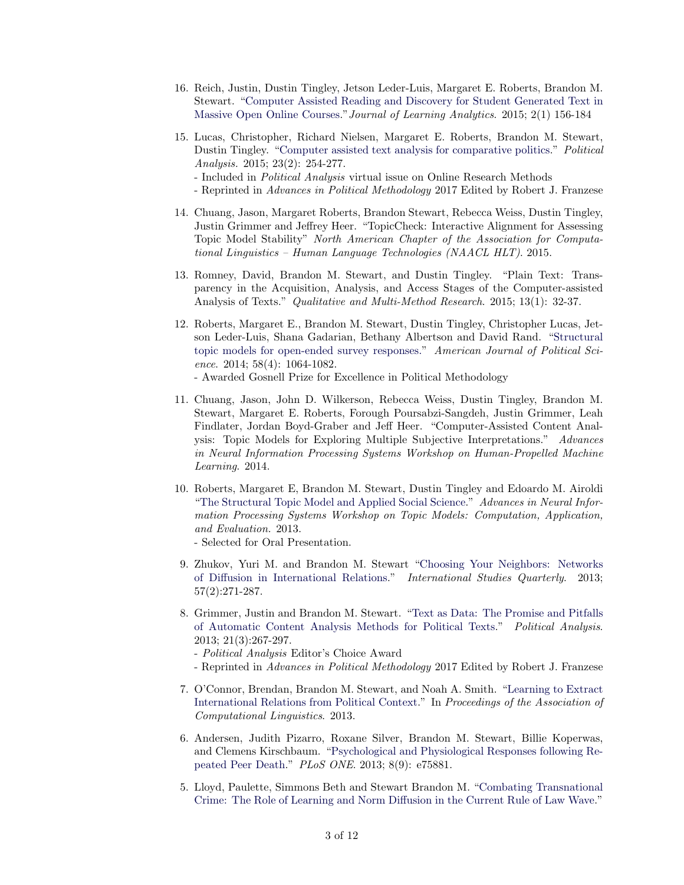- 16. Reich, Justin, Dustin Tingley, Jetson Leder-Luis, Margaret E. Roberts, Brandon M. Stewart. ["Computer Assisted Reading and Discovery for Student Generated Text in](http://scholar.princeton.edu/sites/default/files/bstewart/files/4138-19512-1-pb.pdf) [Massive Open Online Courses.](http://scholar.princeton.edu/sites/default/files/bstewart/files/4138-19512-1-pb.pdf)"Journal of Learning Analytics. 2015; 2(1) 156-184
- 15. Lucas, Christopher, Richard Nielsen, Margaret E. Roberts, Brandon M. Stewart, Dustin Tingley. ["Computer assisted text analysis for comparative politics.](http://scholar.princeton.edu/files/dtingley/files/comparativepoliticstext.pdf)" Political Analysis. 2015; 23(2): 254-277.
	- Included in Political Analysis virtual issue on Online Research Methods
	- Reprinted in Advances in Political Methodology 2017 Edited by Robert J. Franzese
- 14. Chuang, Jason, Margaret Roberts, Brandon Stewart, Rebecca Weiss, Dustin Tingley, Justin Grimmer and Jeffrey Heer. "TopicCheck: Interactive Alignment for Assessing Topic Model Stability" North American Chapter of the Association for Computational Linguistics – Human Language Technologies (NAACL HLT). 2015.
- 13. Romney, David, Brandon M. Stewart, and Dustin Tingley. "Plain Text: Transparency in the Acquisition, Analysis, and Access Stages of the Computer-assisted Analysis of Texts." Qualitative and Multi-Method Research. 2015; 13(1): 32-37.
- 12. Roberts, Margaret E., Brandon M. Stewart, Dustin Tingley, Christopher Lucas, Jetson Leder-Luis, Shana Gadarian, Bethany Albertson and David Rand. ["Structural](http://scholar.princeton.edu/files/bstewart/files/topicmodelsopenendedexperiments_0.pdf) [topic models for open-ended survey responses."](http://scholar.princeton.edu/files/bstewart/files/topicmodelsopenendedexperiments_0.pdf) American Journal of Political Science. 2014; 58(4): 1064-1082.
	- Awarded Gosnell Prize for Excellence in Political Methodology
- 11. Chuang, Jason, John D. Wilkerson, Rebecca Weiss, Dustin Tingley, Brandon M. Stewart, Margaret E. Roberts, Forough Poursabzi-Sangdeh, Justin Grimmer, Leah Findlater, Jordan Boyd-Graber and Jeff Heer. "Computer-Assisted Content Analysis: Topic Models for Exploring Multiple Subjective Interpretations." Advances in Neural Information Processing Systems Workshop on Human-Propelled Machine Learning. 2014.
- 10. Roberts, Margaret E, Brandon M. Stewart, Dustin Tingley and Edoardo M. Airoldi ["The Structural Topic Model and Applied Social Science.](http://scholar.princeton.edu/files/bstewart/files/stmnips2013.pdf)" Advances in Neural Information Processing Systems Workshop on Topic Models: Computation, Application, and Evaluation. 2013.
	- Selected for Oral Presentation.
- 9. Zhukov, Yuri M. and Brandon M. Stewart ["Choosing Your Neighbors: Networks](http://scholar.princeton.edu/files/bstewart/files/zhukovstewart_isq.pdf) [of Diffusion in International Relations.](http://scholar.princeton.edu/files/bstewart/files/zhukovstewart_isq.pdf)" International Studies Quarterly. 2013; 57(2):271-287.
- 8. Grimmer, Justin and Brandon M. Stewart. ["Text as Data: The Promise and Pitfalls](http://scholar.princeton.edu/files/bstewart/files/tad2.pdf) [of Automatic Content Analysis Methods for Political Texts.](http://scholar.princeton.edu/files/bstewart/files/tad2.pdf)" Political Analysis. 2013; 21(3):267-297.
	- Political Analysis Editor's Choice Award
	- Reprinted in Advances in Political Methodology 2017 Edited by Robert J. Franzese
- 7. O'Connor, Brendan, Brandon M. Stewart, and Noah A. Smith. ["Learning to Extract](http://scholar.princeton.edu/files/bstewart/files/oconnorstewartsmith.irevents.acl2013.pdf) [International Relations from Political Context.](http://scholar.princeton.edu/files/bstewart/files/oconnorstewartsmith.irevents.acl2013.pdf)" In Proceedings of the Association of Computational Linguistics. 2013.
- 6. Andersen, Judith Pizarro, Roxane Silver, Brandon M. Stewart, Billie Koperwas, and Clemens Kirschbaum. ["Psychological and Physiological Responses following Re](http://scholar.princeton.edu/files/bstewart/files/andersenetal2013.pdf)[peated Peer Death.](http://scholar.princeton.edu/files/bstewart/files/andersenetal2013.pdf)" PLoS ONE. 2013; 8(9): e75881.
- 5. Lloyd, Paulette, Simmons Beth and Stewart Brandon M. ["Combating Transnational](http://scholar.harvard.edu/files/bsimmons/files/lloyd_simmons_stewart_-_hiil.pdf) [Crime: The Role of Learning and Norm Diffusion in the Current Rule of Law Wave.](http://scholar.harvard.edu/files/bsimmons/files/lloyd_simmons_stewart_-_hiil.pdf)"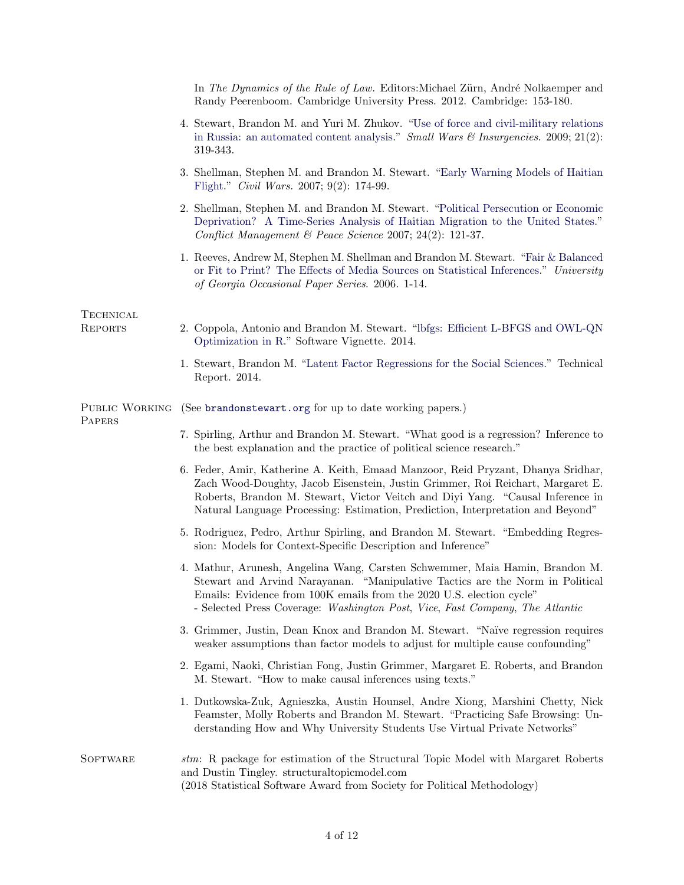|                          | In The Dynamics of the Rule of Law. Editors: Michael Zürn, André Nolkaemper and<br>Randy Peerenboom. Cambridge University Press. 2012. Cambridge: 153-180.                                                                                                                                                                              |
|--------------------------|-----------------------------------------------------------------------------------------------------------------------------------------------------------------------------------------------------------------------------------------------------------------------------------------------------------------------------------------|
|                          | 4. Stewart, Brandon M. and Yuri M. Zhukov. "Use of force and civil-military relations<br>in Russia: an automated content analysis." Small Wars & Insurgencies. 2009; 21(2):<br>319-343.                                                                                                                                                 |
|                          | 3. Shellman, Stephen M. and Brandon M. Stewart. "Early Warning Models of Haitian<br>Flight." <i>Civil Wars.</i> 2007; 9(2): 174-99.                                                                                                                                                                                                     |
|                          | 2. Shellman, Stephen M. and Brandon M. Stewart. "Political Persecution or Economic<br>Deprivation? A Time-Series Analysis of Haitian Migration to the United States."<br>Conflict Management & Peace Science 2007; 24(2): 121-37.                                                                                                       |
|                          | 1. Reeves, Andrew M, Stephen M. Shellman and Brandon M. Stewart. "Fair & Balanced"<br>or Fit to Print? The Effects of Media Sources on Statistical Inferences." University<br>of Georgia Occasional Paper Series. 2006. 1-14.                                                                                                           |
| TECHNICAL                |                                                                                                                                                                                                                                                                                                                                         |
| <b>REPORTS</b>           | 2. Coppola, Antonio and Brandon M. Stewart. "lbfgs: Efficient L-BFGS and OWL-QN<br>Optimization in R." Software Vignette. 2014.                                                                                                                                                                                                         |
|                          | 1. Stewart, Brandon M. "Latent Factor Regressions for the Social Sciences." Technical<br>Report. 2014.                                                                                                                                                                                                                                  |
| PUBLIC WORKING<br>PAPERS | (See brandonstewart.org for up to date working papers.)                                                                                                                                                                                                                                                                                 |
|                          | 7. Spirling, Arthur and Brandon M. Stewart. "What good is a regression? Inference to<br>the best explanation and the practice of political science research."                                                                                                                                                                           |
|                          | 6. Feder, Amir, Katherine A. Keith, Emaad Manzoor, Reid Pryzant, Dhanya Sridhar,<br>Zach Wood-Doughty, Jacob Eisenstein, Justin Grimmer, Roi Reichart, Margaret E.<br>Roberts, Brandon M. Stewart, Victor Veitch and Diyi Yang. "Causal Inference in<br>Natural Language Processing: Estimation, Prediction, Interpretation and Beyond" |
|                          | 5. Rodriguez, Pedro, Arthur Spirling, and Brandon M. Stewart. "Embedding Regres-<br>sion: Models for Context-Specific Description and Inference"                                                                                                                                                                                        |
|                          | 4. Mathur, Arunesh, Angelina Wang, Carsten Schwemmer, Maia Hamin, Brandon M.<br>Stewart and Arvind Narayanan. "Manipulative Tactics are the Norm in Political<br>Emails: Evidence from 100K emails from the 2020 U.S. election cycle"<br>- Selected Press Coverage: Washington Post, Vice, Fast Company, The Atlantic                   |
|                          | 3. Grimmer, Justin, Dean Knox and Brandon M. Stewart. "Naïve regression requires<br>weaker assumptions than factor models to adjust for multiple cause confounding"                                                                                                                                                                     |
|                          | 2. Egami, Naoki, Christian Fong, Justin Grimmer, Margaret E. Roberts, and Brandon<br>M. Stewart. "How to make causal inferences using texts."                                                                                                                                                                                           |
|                          | 1. Dutkowska-Zuk, Agnieszka, Austin Hounsel, Andre Xiong, Marshini Chetty, Nick<br>Feamster, Molly Roberts and Brandon M. Stewart. "Practicing Safe Browsing: Un-<br>derstanding How and Why University Students Use Virtual Private Networks"                                                                                          |
| SOFTWARE                 | stm: R package for estimation of the Structural Topic Model with Margaret Roberts<br>and Dustin Tingley. structural topic model.com<br>(2018 Statistical Software Award from Society for Political Methodology)                                                                                                                         |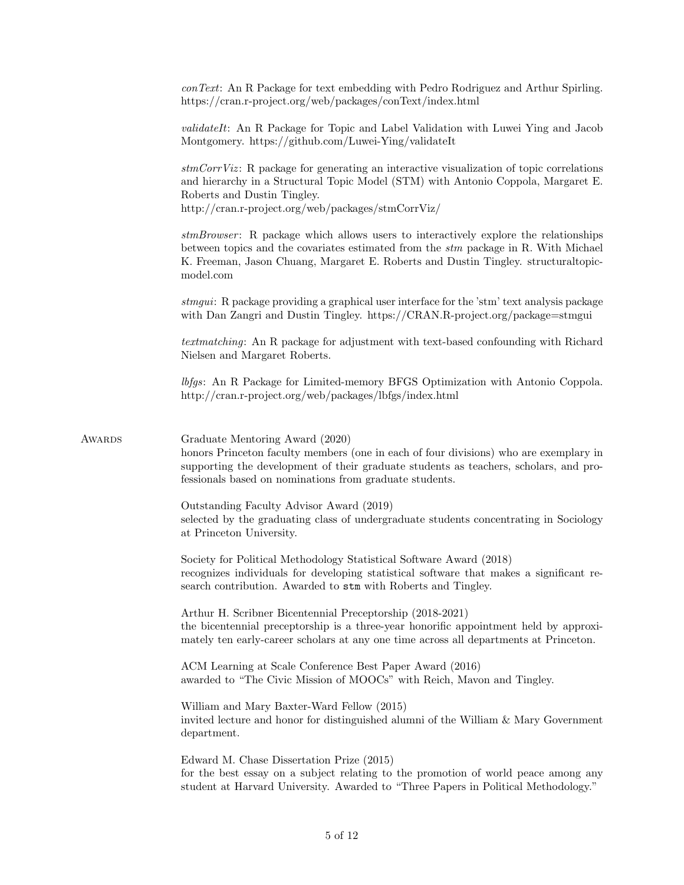| https://cran.r-project.org/web/packages/conText/index.html<br>Montgomery. https://github.com/Luwei-Ying/validateIt<br>Roberts and Dustin Tingley.<br>http://cran.r-project.org/web/packages/stmCorrViz/<br>model.com<br>with Dan Zangri and Dustin Tingley. https://CRAN.R-project.org/package=stmgui<br>Nielsen and Margaret Roberts.<br>http://cran.r-project.org/web/packages/lbfgs/index.html<br>Graduate Mentoring Award (2020)<br>Awards<br>fessionals based on nominations from graduate students.<br>Outstanding Faculty Advisor Award (2019)<br>at Princeton University.<br>Society for Political Methodology Statistical Software Award (2018)<br>search contribution. Awarded to stm with Roberts and Tingley.<br>Arthur H. Scribner Bicentennial Preceptorship (2018-2021)<br>mately ten early-career scholars at any one time across all departments at Princeton.<br>ACM Learning at Scale Conference Best Paper Award (2016)<br>awarded to "The Civic Mission of MOOCs" with Reich, Mavon and Tingley.<br>William and Mary Baxter-Ward Fellow (2015)<br>department.<br>Edward M. Chase Dissertation Prize (2015)<br>student at Harvard University. Awarded to "Three Papers in Political Methodology." |  |                                                                                                                                                                                                                                                                   |
|-----------------------------------------------------------------------------------------------------------------------------------------------------------------------------------------------------------------------------------------------------------------------------------------------------------------------------------------------------------------------------------------------------------------------------------------------------------------------------------------------------------------------------------------------------------------------------------------------------------------------------------------------------------------------------------------------------------------------------------------------------------------------------------------------------------------------------------------------------------------------------------------------------------------------------------------------------------------------------------------------------------------------------------------------------------------------------------------------------------------------------------------------------------------------------------------------------------------------|--|-------------------------------------------------------------------------------------------------------------------------------------------------------------------------------------------------------------------------------------------------------------------|
|                                                                                                                                                                                                                                                                                                                                                                                                                                                                                                                                                                                                                                                                                                                                                                                                                                                                                                                                                                                                                                                                                                                                                                                                                       |  | con Text: An R Package for text embedding with Pedro Rodriguez and Arthur Spirling.                                                                                                                                                                               |
|                                                                                                                                                                                                                                                                                                                                                                                                                                                                                                                                                                                                                                                                                                                                                                                                                                                                                                                                                                                                                                                                                                                                                                                                                       |  | <i>validateIt</i> : An R Package for Topic and Label Validation with Luwei Ying and Jacob                                                                                                                                                                         |
|                                                                                                                                                                                                                                                                                                                                                                                                                                                                                                                                                                                                                                                                                                                                                                                                                                                                                                                                                                                                                                                                                                                                                                                                                       |  | $stmCorrViz$ : R package for generating an interactive visualization of topic correlations<br>and hierarchy in a Structural Topic Model (STM) with Antonio Coppola, Margaret E.                                                                                   |
|                                                                                                                                                                                                                                                                                                                                                                                                                                                                                                                                                                                                                                                                                                                                                                                                                                                                                                                                                                                                                                                                                                                                                                                                                       |  | stmBrowser: R package which allows users to interactively explore the relationships<br>between topics and the covariates estimated from the stm package in R. With Michael<br>K. Freeman, Jason Chuang, Margaret E. Roberts and Dustin Tingley. structural topic- |
|                                                                                                                                                                                                                                                                                                                                                                                                                                                                                                                                                                                                                                                                                                                                                                                                                                                                                                                                                                                                                                                                                                                                                                                                                       |  | stmgui: R package providing a graphical user interface for the 'stm' text analysis package                                                                                                                                                                        |
|                                                                                                                                                                                                                                                                                                                                                                                                                                                                                                                                                                                                                                                                                                                                                                                                                                                                                                                                                                                                                                                                                                                                                                                                                       |  | <i>textmatching</i> : An R package for adjustment with text-based confounding with Richard                                                                                                                                                                        |
|                                                                                                                                                                                                                                                                                                                                                                                                                                                                                                                                                                                                                                                                                                                                                                                                                                                                                                                                                                                                                                                                                                                                                                                                                       |  | <i>lbfgs</i> : An R Package for Limited-memory BFGS Optimization with Antonio Coppola.                                                                                                                                                                            |
|                                                                                                                                                                                                                                                                                                                                                                                                                                                                                                                                                                                                                                                                                                                                                                                                                                                                                                                                                                                                                                                                                                                                                                                                                       |  | honors Princeton faculty members (one in each of four divisions) who are exemplary in<br>supporting the development of their graduate students as teachers, scholars, and pro-                                                                                    |
|                                                                                                                                                                                                                                                                                                                                                                                                                                                                                                                                                                                                                                                                                                                                                                                                                                                                                                                                                                                                                                                                                                                                                                                                                       |  | selected by the graduating class of undergraduate students concentrating in Sociology                                                                                                                                                                             |
|                                                                                                                                                                                                                                                                                                                                                                                                                                                                                                                                                                                                                                                                                                                                                                                                                                                                                                                                                                                                                                                                                                                                                                                                                       |  | recognizes individuals for developing statistical software that makes a significant re-                                                                                                                                                                           |
|                                                                                                                                                                                                                                                                                                                                                                                                                                                                                                                                                                                                                                                                                                                                                                                                                                                                                                                                                                                                                                                                                                                                                                                                                       |  | the bicentennial preceptorship is a three-year honorific appointment held by approxi-                                                                                                                                                                             |
|                                                                                                                                                                                                                                                                                                                                                                                                                                                                                                                                                                                                                                                                                                                                                                                                                                                                                                                                                                                                                                                                                                                                                                                                                       |  |                                                                                                                                                                                                                                                                   |
|                                                                                                                                                                                                                                                                                                                                                                                                                                                                                                                                                                                                                                                                                                                                                                                                                                                                                                                                                                                                                                                                                                                                                                                                                       |  | invited lecture and honor for distinguished alumni of the William & Mary Government                                                                                                                                                                               |
|                                                                                                                                                                                                                                                                                                                                                                                                                                                                                                                                                                                                                                                                                                                                                                                                                                                                                                                                                                                                                                                                                                                                                                                                                       |  | for the best essay on a subject relating to the promotion of world peace among any                                                                                                                                                                                |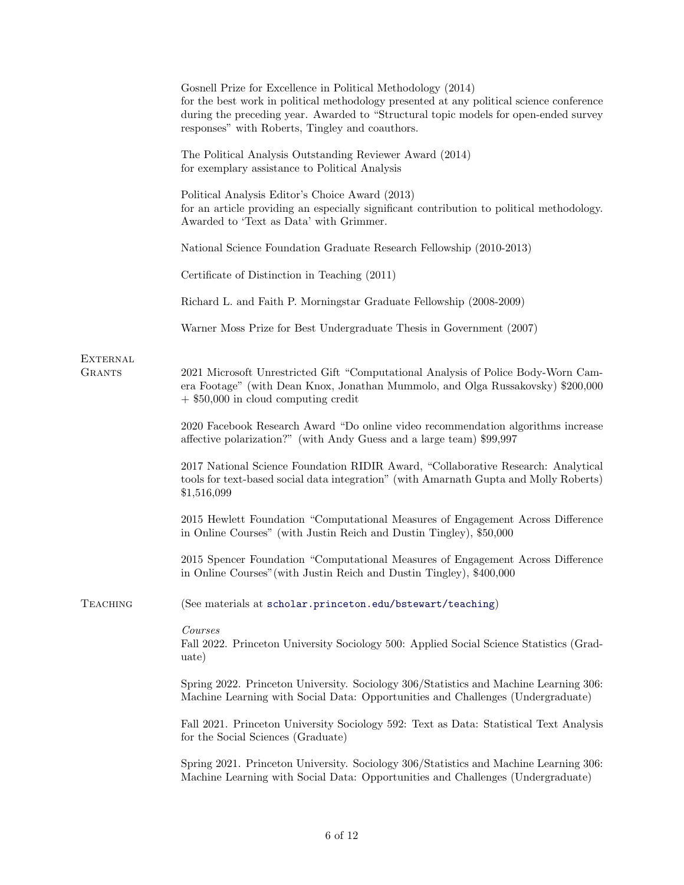|                                  | Gosnell Prize for Excellence in Political Methodology (2014)<br>for the best work in political methodology presented at any political science conference<br>during the preceding year. Awarded to "Structural topic models for open-ended survey<br>responses" with Roberts, Tingley and coauthors. |
|----------------------------------|-----------------------------------------------------------------------------------------------------------------------------------------------------------------------------------------------------------------------------------------------------------------------------------------------------|
|                                  | The Political Analysis Outstanding Reviewer Award (2014)<br>for exemplary assistance to Political Analysis                                                                                                                                                                                          |
|                                  | Political Analysis Editor's Choice Award (2013)<br>for an article providing an especially significant contribution to political methodology.<br>Awarded to 'Text as Data' with Grimmer.                                                                                                             |
|                                  | National Science Foundation Graduate Research Fellowship (2010-2013)                                                                                                                                                                                                                                |
|                                  | Certificate of Distinction in Teaching (2011)                                                                                                                                                                                                                                                       |
|                                  | Richard L. and Faith P. Morningstar Graduate Fellowship (2008-2009)                                                                                                                                                                                                                                 |
|                                  | Warner Moss Prize for Best Undergraduate Thesis in Government (2007)                                                                                                                                                                                                                                |
| <b>EXTERNAL</b><br><b>GRANTS</b> | 2021 Microsoft Unrestricted Gift "Computational Analysis of Police Body-Worn Cam-<br>era Footage" (with Dean Knox, Jonathan Mummolo, and Olga Russakovsky) \$200,000<br>$+$ \$50,000 in cloud computing credit                                                                                      |
|                                  | 2020 Facebook Research Award "Do online video recommendation algorithms increase<br>affective polarization?" (with Andy Guess and a large team) \$99,997                                                                                                                                            |
|                                  | 2017 National Science Foundation RIDIR Award, "Collaborative Research: Analytical<br>tools for text-based social data integration" (with Amarnath Gupta and Molly Roberts)<br>\$1,516,099                                                                                                           |
|                                  | 2015 Hewlett Foundation "Computational Measures of Engagement Across Difference<br>in Online Courses" (with Justin Reich and Dustin Tingley), \$50,000                                                                                                                                              |
|                                  | 2015 Spencer Foundation "Computational Measures of Engagement Across Difference<br>in Online Courses" (with Justin Reich and Dustin Tingley), \$400,000                                                                                                                                             |
| <b>TEACHING</b>                  | (See materials at scholar.princeton.edu/bstewart/teaching)                                                                                                                                                                                                                                          |
|                                  | Courses<br>Fall 2022. Princeton University Sociology 500: Applied Social Science Statistics (Grad-<br>uate)                                                                                                                                                                                         |
|                                  | Spring 2022. Princeton University. Sociology 306/Statistics and Machine Learning 306:<br>Machine Learning with Social Data: Opportunities and Challenges (Undergraduate)                                                                                                                            |
|                                  | Fall 2021. Princeton University Sociology 592: Text as Data: Statistical Text Analysis<br>for the Social Sciences (Graduate)                                                                                                                                                                        |
|                                  | Spring 2021. Princeton University. Sociology 306/Statistics and Machine Learning 306:<br>Machine Learning with Social Data: Opportunities and Challenges (Undergraduate)                                                                                                                            |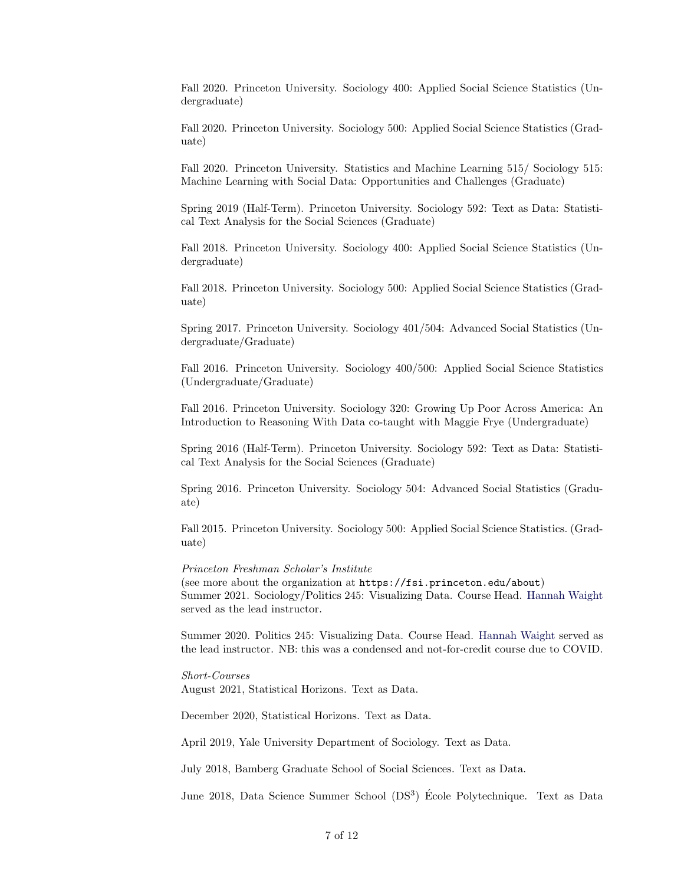Fall 2020. Princeton University. Sociology 400: Applied Social Science Statistics (Undergraduate)

Fall 2020. Princeton University. Sociology 500: Applied Social Science Statistics (Graduate)

Fall 2020. Princeton University. Statistics and Machine Learning 515/ Sociology 515: Machine Learning with Social Data: Opportunities and Challenges (Graduate)

Spring 2019 (Half-Term). Princeton University. Sociology 592: Text as Data: Statistical Text Analysis for the Social Sciences (Graduate)

Fall 2018. Princeton University. Sociology 400: Applied Social Science Statistics (Undergraduate)

Fall 2018. Princeton University. Sociology 500: Applied Social Science Statistics (Graduate)

Spring 2017. Princeton University. Sociology 401/504: Advanced Social Statistics (Undergraduate/Graduate)

Fall 2016. Princeton University. Sociology 400/500: Applied Social Science Statistics (Undergraduate/Graduate)

Fall 2016. Princeton University. Sociology 320: Growing Up Poor Across America: An Introduction to Reasoning With Data co-taught with Maggie Frye (Undergraduate)

Spring 2016 (Half-Term). Princeton University. Sociology 592: Text as Data: Statistical Text Analysis for the Social Sciences (Graduate)

Spring 2016. Princeton University. Sociology 504: Advanced Social Statistics (Graduate)

Fall 2015. Princeton University. Sociology 500: Applied Social Science Statistics. (Graduate)

Princeton Freshman Scholar's Institute

(see more about the organization at https://fsi.princeton.edu/about) Summer 2021. Sociology/Politics 245: Visualizing Data. Course Head. [Hannah Waight](https://scholar.princeton.edu/hwaight/home) served as the lead instructor.

Summer 2020. Politics 245: Visualizing Data. Course Head. [Hannah Waight](https://scholar.princeton.edu/hwaight/home) served as the lead instructor. NB: this was a condensed and not-for-credit course due to COVID.

Short-Courses

August 2021, Statistical Horizons. Text as Data.

December 2020, Statistical Horizons. Text as Data.

April 2019, Yale University Department of Sociology. Text as Data.

July 2018, Bamberg Graduate School of Social Sciences. Text as Data.

June 2018, Data Science Summer School (DS<sup>3</sup>) École Polytechnique. Text as Data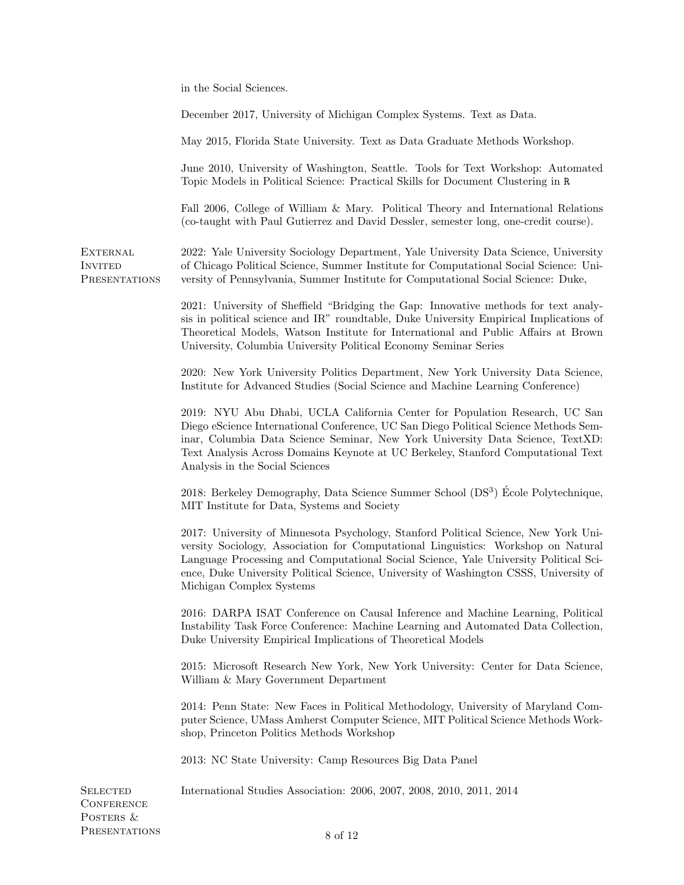in the Social Sciences.

|                                                    | December 2017, University of Michigan Complex Systems. Text as Data.                                                                                                                                                                                                                                                                                                                  |
|----------------------------------------------------|---------------------------------------------------------------------------------------------------------------------------------------------------------------------------------------------------------------------------------------------------------------------------------------------------------------------------------------------------------------------------------------|
|                                                    | May 2015, Florida State University. Text as Data Graduate Methods Workshop.                                                                                                                                                                                                                                                                                                           |
|                                                    | June 2010, University of Washington, Seattle. Tools for Text Workshop: Automated<br>Topic Models in Political Science: Practical Skills for Document Clustering in R                                                                                                                                                                                                                  |
|                                                    | Fall 2006, College of William & Mary. Political Theory and International Relations<br>(co-taught with Paul Gutierrez and David Dessler, semester long, one-credit course).                                                                                                                                                                                                            |
| <b>EXTERNAL</b><br><b>INVITED</b><br>PRESENTATIONS | 2022: Yale University Sociology Department, Yale University Data Science, University<br>of Chicago Political Science, Summer Institute for Computational Social Science: Uni-<br>versity of Pennsylvania, Summer Institute for Computational Social Science: Duke,                                                                                                                    |
|                                                    | 2021: University of Sheffield "Bridging the Gap: Innovative methods for text analy-<br>sis in political science and IR" roundtable, Duke University Empirical Implications of<br>Theoretical Models, Watson Institute for International and Public Affairs at Brown<br>University, Columbia University Political Economy Seminar Series                                               |
|                                                    | 2020: New York University Politics Department, New York University Data Science,<br>Institute for Advanced Studies (Social Science and Machine Learning Conference)                                                                                                                                                                                                                   |
|                                                    | 2019: NYU Abu Dhabi, UCLA California Center for Population Research, UC San<br>Diego eScience International Conference, UC San Diego Political Science Methods Sem-<br>inar, Columbia Data Science Seminar, New York University Data Science, TextXD:<br>Text Analysis Across Domains Keynote at UC Berkeley, Stanford Computational Text<br>Analysis in the Social Sciences          |
|                                                    | 2018: Berkeley Demography, Data Science Summer School (DS <sup>3</sup> ) École Polytechnique,<br>MIT Institute for Data, Systems and Society                                                                                                                                                                                                                                          |
|                                                    | 2017: University of Minnesota Psychology, Stanford Political Science, New York Uni-<br>versity Sociology, Association for Computational Linguistics: Workshop on Natural<br>Language Processing and Computational Social Science, Yale University Political Sci-<br>ence, Duke University Political Science, University of Washington CSSS, University of<br>Michigan Complex Systems |
|                                                    | 2016: DARPA ISAT Conference on Causal Inference and Machine Learning, Political<br>Instability Task Force Conference: Machine Learning and Automated Data Collection,<br>Duke University Empirical Implications of Theoretical Models                                                                                                                                                 |
|                                                    | 2015: Microsoft Research New York, New York University: Center for Data Science,<br>William & Mary Government Department                                                                                                                                                                                                                                                              |
|                                                    | 2014: Penn State: New Faces in Political Methodology, University of Maryland Com-<br>puter Science, UMass Amherst Computer Science, MIT Political Science Methods Work-<br>shop, Princeton Politics Methods Workshop                                                                                                                                                                  |
|                                                    | 2013: NC State University: Camp Resources Big Data Panel                                                                                                                                                                                                                                                                                                                              |
| <b>SELECTED</b><br><b>CONFERENCE</b><br>POSTERS &  | International Studies Association: 2006, 2007, 2008, 2010, 2011, 2014                                                                                                                                                                                                                                                                                                                 |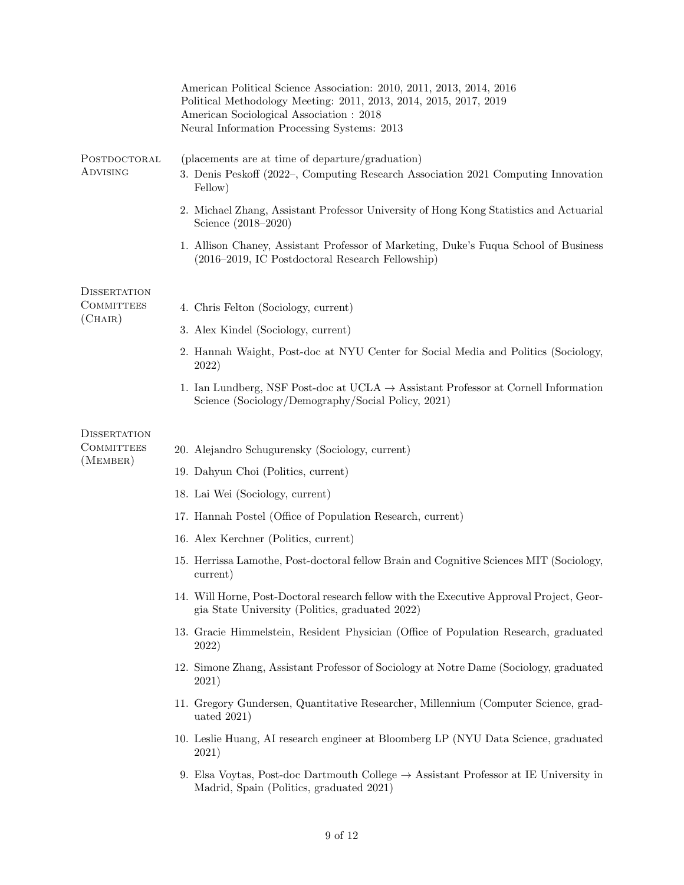|                               | American Political Science Association: 2010, 2011, 2013, 2014, 2016<br>Political Methodology Meeting: 2011, 2013, 2014, 2015, 2017, 2019<br>American Sociological Association : 2018<br>Neural Information Processing Systems: 2013 |
|-------------------------------|--------------------------------------------------------------------------------------------------------------------------------------------------------------------------------------------------------------------------------------|
| POSTDOCTORAL<br>ADVISING      | (placements are at time of departure/graduation)<br>3. Denis Peskoff (2022–, Computing Research Association 2021 Computing Innovation<br>Fellow)                                                                                     |
|                               | 2. Michael Zhang, Assistant Professor University of Hong Kong Statistics and Actuarial<br>Science (2018–2020)                                                                                                                        |
|                               | 1. Allison Chaney, Assistant Professor of Marketing, Duke's Fuqua School of Business<br>(2016–2019, IC Postdoctoral Research Fellowship)                                                                                             |
| <b>DISSERTATION</b>           |                                                                                                                                                                                                                                      |
| <b>COMMITTEES</b><br>(CHAIR)  | 4. Chris Felton (Sociology, current)                                                                                                                                                                                                 |
|                               | 3. Alex Kindel (Sociology, current)                                                                                                                                                                                                  |
|                               | 2. Hannah Waight, Post-doc at NYU Center for Social Media and Politics (Sociology,<br>2022)                                                                                                                                          |
|                               | 1. Ian Lundberg, NSF Post-doc at UCLA $\rightarrow$ Assistant Professor at Cornell Information<br>Science (Sociology/Demography/Social Policy, 2021)                                                                                 |
| <b>DISSERTATION</b>           |                                                                                                                                                                                                                                      |
| <b>COMMITTEES</b><br>(MEMBER) | 20. Alejandro Schugurensky (Sociology, current)                                                                                                                                                                                      |
|                               | 19. Dahyun Choi (Politics, current)                                                                                                                                                                                                  |
|                               | 18. Lai Wei (Sociology, current)                                                                                                                                                                                                     |
|                               | 17. Hannah Postel (Office of Population Research, current)                                                                                                                                                                           |
|                               | 16. Alex Kerchner (Politics, current)                                                                                                                                                                                                |
|                               | 15. Herrissa Lamothe, Post-doctoral fellow Brain and Cognitive Sciences MIT (Sociology,<br>current)                                                                                                                                  |
|                               | 14. Will Horne, Post-Doctoral research fellow with the Executive Approval Project, Geor-<br>gia State University (Politics, graduated 2022)                                                                                          |
|                               | 13. Gracie Himmelstein, Resident Physician (Office of Population Research, graduated<br>2022)                                                                                                                                        |
|                               | 12. Simone Zhang, Assistant Professor of Sociology at Notre Dame (Sociology, graduated<br>2021)                                                                                                                                      |
|                               | 11. Gregory Gundersen, Quantitative Researcher, Millennium (Computer Science, grad-<br>uated $2021$ )                                                                                                                                |
|                               | 10. Leslie Huang, AI research engineer at Bloomberg LP (NYU Data Science, graduated<br>2021)                                                                                                                                         |
|                               | 9. Elsa Voytas, Post-doc Dartmouth College $\rightarrow$ Assistant Professor at IE University in<br>Madrid, Spain (Politics, graduated 2021)                                                                                         |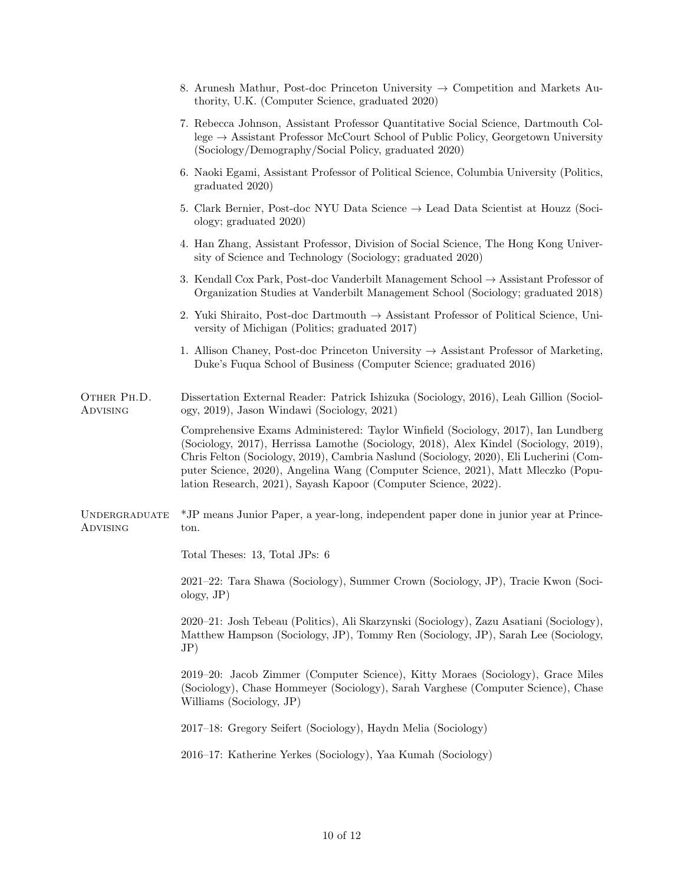| 8. Arunesh Mathur, Post-doc Princeton University $\rightarrow$ Competition and Markets Au-<br>thority, U.K. (Computer Science, graduated 2020)                                                                                                                                                                                                                                                                               |
|------------------------------------------------------------------------------------------------------------------------------------------------------------------------------------------------------------------------------------------------------------------------------------------------------------------------------------------------------------------------------------------------------------------------------|
| 7. Rebecca Johnson, Assistant Professor Quantitative Social Science, Dartmouth Col-<br>lege $\rightarrow$ Assistant Professor McCourt School of Public Policy, Georgetown University<br>(Sociology/Demography/Social Policy, graduated 2020)                                                                                                                                                                                 |
| 6. Naoki Egami, Assistant Professor of Political Science, Columbia University (Politics,<br>graduated 2020)                                                                                                                                                                                                                                                                                                                  |
| 5. Clark Bernier, Post-doc NYU Data Science $\rightarrow$ Lead Data Scientist at Houzz (Soci-<br>ology; graduated 2020)                                                                                                                                                                                                                                                                                                      |
| 4. Han Zhang, Assistant Professor, Division of Social Science, The Hong Kong Univer-<br>sity of Science and Technology (Sociology; graduated 2020)                                                                                                                                                                                                                                                                           |
| 3. Kendall Cox Park, Post-doc Vanderbilt Management School $\rightarrow$ Assistant Professor of<br>Organization Studies at Vanderbilt Management School (Sociology; graduated 2018)                                                                                                                                                                                                                                          |
| 2. Yuki Shiraito, Post-doc Dartmouth $\rightarrow$ Assistant Professor of Political Science, Uni-<br>versity of Michigan (Politics; graduated 2017)                                                                                                                                                                                                                                                                          |
| 1. Allison Chaney, Post-doc Princeton University $\rightarrow$ Assistant Professor of Marketing,<br>Duke's Fuqua School of Business (Computer Science; graduated 2016)                                                                                                                                                                                                                                                       |
| Dissertation External Reader: Patrick Ishizuka (Sociology, 2016), Leah Gillion (Sociol-<br>ogy, 2019), Jason Windawi (Sociology, 2021)                                                                                                                                                                                                                                                                                       |
| Comprehensive Exams Administered: Taylor Winfield (Sociology, 2017), Ian Lundberg<br>(Sociology, 2017), Herrissa Lamothe (Sociology, 2018), Alex Kindel (Sociology, 2019),<br>Chris Felton (Sociology, 2019), Cambria Naslund (Sociology, 2020), Eli Lucherini (Com-<br>puter Science, 2020), Angelina Wang (Computer Science, 2021), Matt Mleczko (Popu-<br>lation Research, 2021), Sayash Kapoor (Computer Science, 2022). |
| *JP means Junior Paper, a year-long, independent paper done in junior year at Prince-<br>ton.                                                                                                                                                                                                                                                                                                                                |
| Total Theses: 13, Total JPs: 6                                                                                                                                                                                                                                                                                                                                                                                               |
| 2021–22: Tara Shawa (Sociology), Summer Crown (Sociology, JP), Tracie Kwon (Soci-<br>$\text{ology}, \text{JP}$                                                                                                                                                                                                                                                                                                               |
| 2020–21: Josh Tebeau (Politics), Ali Skarzynski (Sociology), Zazu Asatiani (Sociology),<br>Matthew Hampson (Sociology, JP), Tommy Ren (Sociology, JP), Sarah Lee (Sociology,<br>$J\mathrm{P})$                                                                                                                                                                                                                               |
| 2019–20: Jacob Zimmer (Computer Science), Kitty Moraes (Sociology), Grace Miles<br>(Sociology), Chase Hommeyer (Sociology), Sarah Varghese (Computer Science), Chase<br>Williams (Sociology, JP)                                                                                                                                                                                                                             |
| 2017–18: Gregory Seifert (Sociology), Haydn Melia (Sociology)                                                                                                                                                                                                                                                                                                                                                                |
| 2016–17: Katherine Yerkes (Sociology), Yaa Kumah (Sociology)                                                                                                                                                                                                                                                                                                                                                                 |
|                                                                                                                                                                                                                                                                                                                                                                                                                              |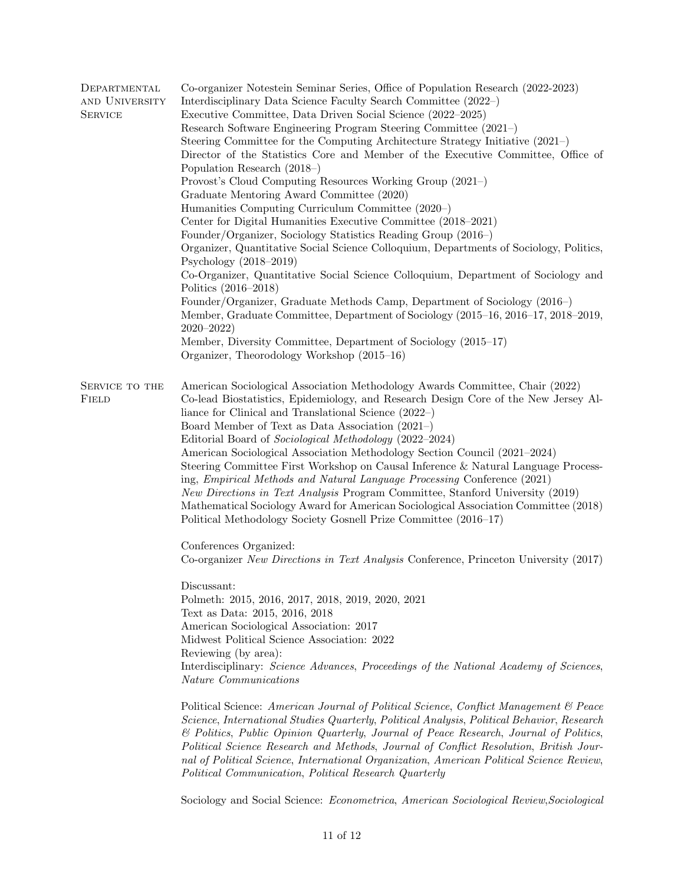| DEPARTMENTAL<br>AND UNIVERSITY<br>SERVICE | Co-organizer Notestein Seminar Series, Office of Population Research (2022-2023)<br>Interdisciplinary Data Science Faculty Search Committee (2022–)<br>Executive Committee, Data Driven Social Science (2022–2025)<br>Research Software Engineering Program Steering Committee (2021–)<br>Steering Committee for the Computing Architecture Strategy Initiative (2021-)<br>Director of the Statistics Core and Member of the Executive Committee, Office of<br>Population Research $(2018-)$<br>Provost's Cloud Computing Resources Working Group (2021-)<br>Graduate Mentoring Award Committee (2020)<br>Humanities Computing Curriculum Committee (2020–)<br>Center for Digital Humanities Executive Committee (2018–2021)<br>Founder/Organizer, Sociology Statistics Reading Group (2016–)<br>Organizer, Quantitative Social Science Colloquium, Departments of Sociology, Politics,<br>Psychology $(2018-2019)$<br>Co-Organizer, Quantitative Social Science Colloquium, Department of Sociology and<br>Politics (2016–2018)<br>Founder/Organizer, Graduate Methods Camp, Department of Sociology (2016–)<br>Member, Graduate Committee, Department of Sociology (2015–16, 2016–17, 2018–2019,<br>$2020 - 2022$<br>Member, Diversity Committee, Department of Sociology (2015–17)<br>Organizer, Theorodology Workshop (2015–16) |
|-------------------------------------------|-------------------------------------------------------------------------------------------------------------------------------------------------------------------------------------------------------------------------------------------------------------------------------------------------------------------------------------------------------------------------------------------------------------------------------------------------------------------------------------------------------------------------------------------------------------------------------------------------------------------------------------------------------------------------------------------------------------------------------------------------------------------------------------------------------------------------------------------------------------------------------------------------------------------------------------------------------------------------------------------------------------------------------------------------------------------------------------------------------------------------------------------------------------------------------------------------------------------------------------------------------------------------------------------------------------------------------------|
| SERVICE TO THE<br>Field                   | American Sociological Association Methodology Awards Committee, Chair (2022)<br>Co-lead Biostatistics, Epidemiology, and Research Design Core of the New Jersey Al-<br>liance for Clinical and Translational Science $(2022-)$<br>Board Member of Text as Data Association (2021–)<br>Editorial Board of Sociological Methodology (2022–2024)<br>American Sociological Association Methodology Section Council (2021-2024)<br>Steering Committee First Workshop on Causal Inference & Natural Language Process-<br>ing, Empirical Methods and Natural Language Processing Conference (2021)<br>New Directions in Text Analysis Program Committee, Stanford University (2019)<br>Mathematical Sociology Award for American Sociological Association Committee (2018)<br>Political Methodology Society Gosnell Prize Committee (2016–17)<br>Conferences Organized:                                                                                                                                                                                                                                                                                                                                                                                                                                                                    |
|                                           | Co-organizer New Directions in Text Analysis Conference, Princeton University (2017)<br>Discussant:<br>Polmeth: 2015, 2016, 2017, 2018, 2019, 2020, 2021<br>Text as Data: 2015, 2016, 2018<br>American Sociological Association: 2017<br>Midwest Political Science Association: 2022<br>Reviewing (by area):<br>Interdisciplinary: Science Advances, Proceedings of the National Academy of Sciences,<br><i>Nature Communications</i><br>Political Science: American Journal of Political Science, Conflict Management & Peace<br>Science, International Studies Quarterly, Political Analysis, Political Behavior, Research<br>& Politics, Public Opinion Quarterly, Journal of Peace Research, Journal of Politics,<br>Political Science Research and Methods, Journal of Conflict Resolution, British Jour-<br>nal of Political Science, International Organization, American Political Science Review,<br>Political Communication, Political Research Quarterly                                                                                                                                                                                                                                                                                                                                                                 |

Sociology and Social Science: Econometrica, American Sociological Review,Sociological